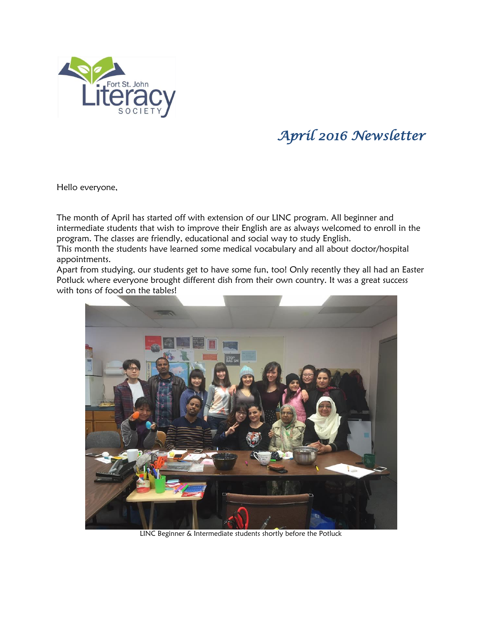

## *April 2016 Newsletter*

Hello everyone,

The month of April has started off with extension of our LINC program. All beginner and intermediate students that wish to improve their English are as always welcomed to enroll in the program. The classes are friendly, educational and social way to study English.

This month the students have learned some medical vocabulary and all about doctor/hospital appointments.

Apart from studying, our students get to have some fun, too! Only recently they all had an Easter Potluck where everyone brought different dish from their own country. It was a great success with tons of food on the tables!



LINC Beginner & Intermediate students shortly before the Potluck